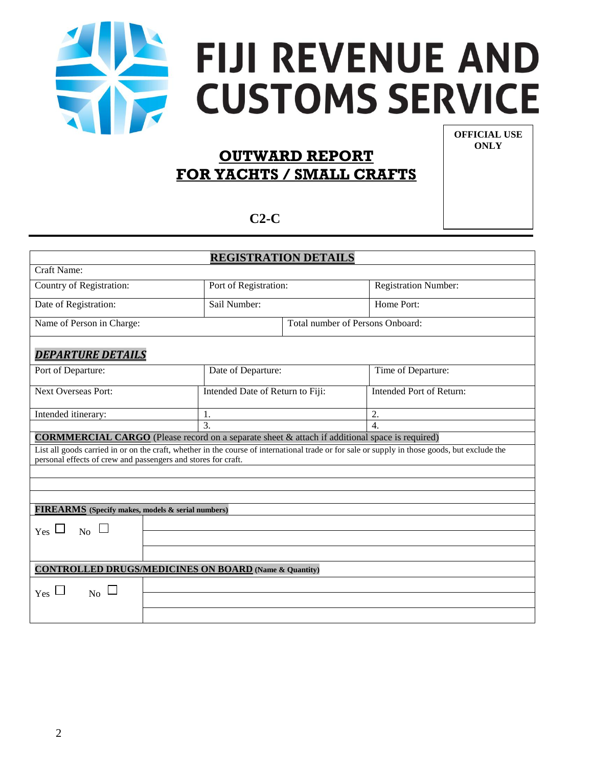## **FIJI REVENUE AND CUSTOMS SERVICE**

**OFFICIAL USE ONLY**

## **OUTWARD REPORT FOR YACHTS / SMALL CRAFTS**

 **C2-C**

|                                                               |                                                                                                          | <b>REGISTRATION DETAILS</b> |                                                                                                                                               |  |
|---------------------------------------------------------------|----------------------------------------------------------------------------------------------------------|-----------------------------|-----------------------------------------------------------------------------------------------------------------------------------------------|--|
| Craft Name:                                                   |                                                                                                          |                             |                                                                                                                                               |  |
| Country of Registration:                                      | Port of Registration:                                                                                    |                             | <b>Registration Number:</b>                                                                                                                   |  |
| Date of Registration:                                         | Sail Number:                                                                                             |                             | Home Port:                                                                                                                                    |  |
| Name of Person in Charge:                                     |                                                                                                          |                             | Total number of Persons Onboard:                                                                                                              |  |
| <b>DEPARTURE DETAILS</b>                                      |                                                                                                          |                             |                                                                                                                                               |  |
| Port of Departure:                                            | Date of Departure:                                                                                       |                             | Time of Departure:                                                                                                                            |  |
| <b>Next Overseas Port:</b>                                    | Intended Date of Return to Fiji:                                                                         |                             | Intended Port of Return:                                                                                                                      |  |
| Intended itinerary:                                           | 1.                                                                                                       |                             | 2.                                                                                                                                            |  |
|                                                               | $\overline{3}$ .                                                                                         |                             | $\overline{4}$ .                                                                                                                              |  |
|                                                               | <b>CORMMERCIAL CARGO</b> (Please record on a separate sheet $\&$ attach if additional space is required) |                             |                                                                                                                                               |  |
|                                                               |                                                                                                          |                             | List all goods carried in or on the craft, whether in the course of international trade or for sale or supply in those goods, but exclude the |  |
| personal effects of crew and passengers and stores for craft. |                                                                                                          |                             |                                                                                                                                               |  |
|                                                               |                                                                                                          |                             |                                                                                                                                               |  |
|                                                               |                                                                                                          |                             |                                                                                                                                               |  |
|                                                               |                                                                                                          |                             |                                                                                                                                               |  |
| FIREARMS (Specify makes, models & serial numbers)             |                                                                                                          |                             |                                                                                                                                               |  |
| $_{\text{Yes}}$ $\Box$<br>$_{\text{No}}$ $\Box$               |                                                                                                          |                             |                                                                                                                                               |  |
|                                                               |                                                                                                          |                             |                                                                                                                                               |  |
|                                                               |                                                                                                          |                             |                                                                                                                                               |  |
|                                                               | <b>CONTROLLED DRUGS/MEDICINES ON BOARD (Name &amp; Quantity)</b>                                         |                             |                                                                                                                                               |  |
| $_{\rm No}$ $\Box$<br>$_{\text{Yes}}$ $\Box$                  |                                                                                                          |                             |                                                                                                                                               |  |
|                                                               |                                                                                                          |                             |                                                                                                                                               |  |
|                                                               |                                                                                                          |                             |                                                                                                                                               |  |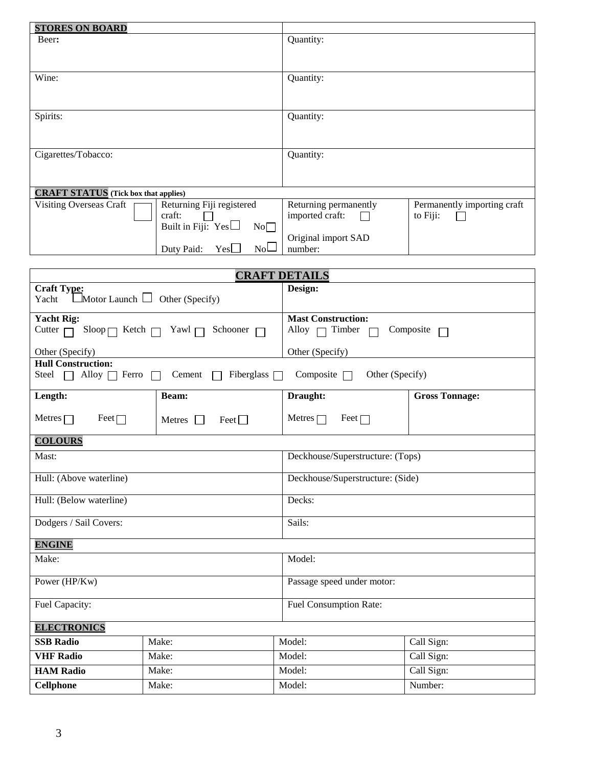| <b>STORES ON BOARD</b>                                                                                                            |                                                                                                                       |
|-----------------------------------------------------------------------------------------------------------------------------------|-----------------------------------------------------------------------------------------------------------------------|
| Beer:                                                                                                                             | Quantity:                                                                                                             |
|                                                                                                                                   |                                                                                                                       |
| Wine:                                                                                                                             | Quantity:                                                                                                             |
| Spirits:                                                                                                                          | Quantity:                                                                                                             |
| Cigarettes/Tobacco:                                                                                                               | Quantity:                                                                                                             |
| <b>CRAFT STATUS</b> (Tick box that applies)                                                                                       |                                                                                                                       |
| Returning Fiji registered<br>Visiting Overseas Craft<br>craft:<br>Built in Fiji: $Yes \Box$<br>No<br>Duty Paid: $Yes \Box$<br>NoL | Returning permanently<br>Permanently importing craft<br>imported craft:<br>to Fiji:<br>Original import SAD<br>number: |

| <b>CRAFT DETAILS</b>                                                         |                                                       |                                     |                       |  |  |
|------------------------------------------------------------------------------|-------------------------------------------------------|-------------------------------------|-----------------------|--|--|
| <b>Craft Type:</b><br>Yacht                                                  | Design:<br>$\Box$ Motor Launch $\Box$ Other (Specify) |                                     |                       |  |  |
| <b>Yacht Rig:</b>                                                            |                                                       | <b>Mast Construction:</b>           |                       |  |  |
| Sloop $\Box$ Ketch $\Box$<br>Schooner $\Box$<br>Cutter $\Box$<br>Yawl $\Box$ |                                                       | Alloy $\Box$ Timber                 | Composite             |  |  |
| Other (Specify)                                                              |                                                       | Other (Specify)                     |                       |  |  |
| <b>Hull Construction:</b>                                                    |                                                       |                                     |                       |  |  |
| Alloy $\Box$<br>Ferro<br>Steel<br>$\perp$                                    | Fiberglass [<br>Cement                                | Other (Specify)<br>Composite $\Box$ |                       |  |  |
| Length:                                                                      | Beam:                                                 | Draught:                            | <b>Gross Tonnage:</b> |  |  |
| Metres $\Box$<br>Feet $\Box$                                                 | Feet $\Box$<br>Metres<br>$\perp$                      | Metres $\Box$<br>Feet $\Box$        |                       |  |  |
| <b>COLOURS</b>                                                               |                                                       |                                     |                       |  |  |
| Mast:                                                                        |                                                       | Deckhouse/Superstructure: (Tops)    |                       |  |  |
| Hull: (Above waterline)                                                      |                                                       | Deckhouse/Superstructure: (Side)    |                       |  |  |
| Hull: (Below waterline)                                                      |                                                       | Decks:                              |                       |  |  |
| Dodgers / Sail Covers:                                                       |                                                       | Sails:                              |                       |  |  |
| <b>ENGINE</b>                                                                |                                                       |                                     |                       |  |  |
| Make:                                                                        |                                                       | Model:                              |                       |  |  |
| Power (HP/Kw)                                                                |                                                       | Passage speed under motor:          |                       |  |  |
| Fuel Capacity:                                                               |                                                       | Fuel Consumption Rate:              |                       |  |  |
| <b>ELECTRONICS</b>                                                           |                                                       |                                     |                       |  |  |
| <b>SSB Radio</b>                                                             | Make:                                                 | Model:                              | Call Sign:            |  |  |
| <b>VHF Radio</b>                                                             | Make:                                                 | Model:                              | Call Sign:            |  |  |
| <b>HAM Radio</b>                                                             | Make:                                                 | Model:                              | Call Sign:            |  |  |
| <b>Cellphone</b>                                                             | Make:                                                 |                                     | Number:<br>Model:     |  |  |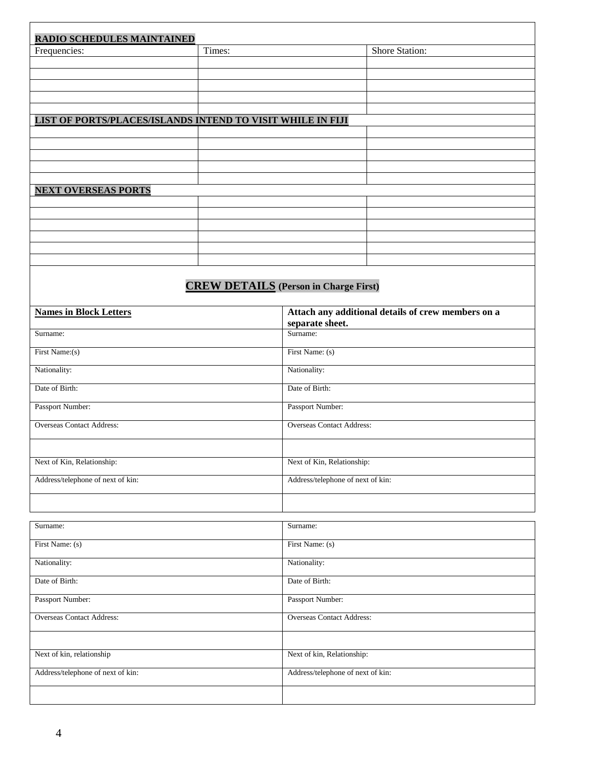| <b>RADIO SCHEDULES MAINTAINED</b>                          |        |                |
|------------------------------------------------------------|--------|----------------|
| Frequencies:                                               | Times: | Shore Station: |
|                                                            |        |                |
|                                                            |        |                |
|                                                            |        |                |
|                                                            |        |                |
|                                                            |        |                |
| LIST OF PORTS/PLACES/ISLANDS INTEND TO VISIT WHILE IN FIJI |        |                |
|                                                            |        |                |
|                                                            |        |                |
|                                                            |        |                |
|                                                            |        |                |
|                                                            |        |                |
| <b>NEXT OVERSEAS PORTS</b>                                 |        |                |
|                                                            |        |                |
|                                                            |        |                |
|                                                            |        |                |
|                                                            |        |                |
|                                                            |        |                |
|                                                            |        |                |

## **CREW DETAILS (Person in Charge First)**

| <b>Names in Block Letters</b>     | Attach any additional details of crew members on a |  |
|-----------------------------------|----------------------------------------------------|--|
|                                   | separate sheet.                                    |  |
| Surname:                          | Surname:                                           |  |
| First Name:(s)                    | First Name: (s)                                    |  |
| Nationality:                      | Nationality:                                       |  |
| Date of Birth:                    | Date of Birth:                                     |  |
| Passport Number:                  | Passport Number:                                   |  |
| <b>Overseas Contact Address:</b>  | <b>Overseas Contact Address:</b>                   |  |
|                                   |                                                    |  |
| Next of Kin, Relationship:        | Next of Kin, Relationship:                         |  |
| Address/telephone of next of kin: | Address/telephone of next of kin:                  |  |
|                                   |                                                    |  |

| Surname:                          | Surname:                          |
|-----------------------------------|-----------------------------------|
| First Name: (s)                   | First Name: (s)                   |
| Nationality:                      | Nationality:                      |
| Date of Birth:                    | Date of Birth:                    |
| Passport Number:                  | Passport Number:                  |
| <b>Overseas Contact Address:</b>  | <b>Overseas Contact Address:</b>  |
|                                   |                                   |
| Next of kin, relationship         | Next of kin, Relationship:        |
| Address/telephone of next of kin: | Address/telephone of next of kin: |
|                                   |                                   |